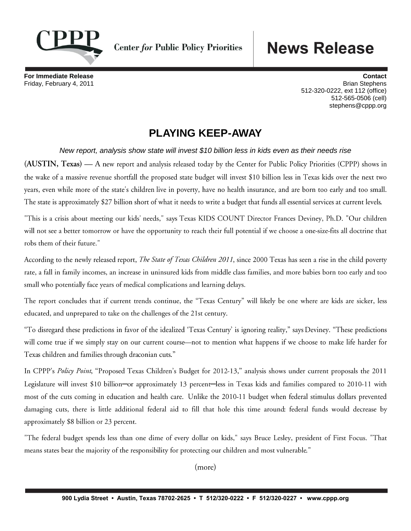

**Center for Public Policy Priorities** 

## **News Release**

**For Immediate Release Contact**  Friday, February 4, 2011 Brian Stephens 512-320-0222, ext 112 (office) 512-565-0506 (cell) stephens@cppp.org

## **PLAYING KEEP-AWAY**

*New report, analysis show state will invest \$10 billion less in kids even as their needs rise*

(AUSTIN, Texas) — A new report and analysis released today by the Center for Public Policy Priorities (CPPP) shows in the wake of a massive revenue shortfall the proposed state budget will invest \$10 billion less in Texas kids over the next two years, even while more of the state's children live in poverty, have no health insurance, and are born too early and too small. The state is approximately \$27 billion short of what it needs to write a budget that funds all essential services at current levels.

"This is a crisis about meeting our kids' needs," says Texas KIDS COUNT Director Frances Deviney, Ph.D. "Our children will not see a better tomorrow or have the opportunity to reach their full potential if we choose a one-size-fits all doctrine that robs them of their future."

According to the newly released report, *The State of Texas Children 2011*, since 2000 Texas has seen a rise in the child poverty rate, a fall in family incomes, an increase in uninsured kids from middle class families, and more babies born too early and too small who potentially face years of medical complications and learning delays.

The report concludes that if current trends continue, the "Texas Century" will likely be one where are kids are sicker, less educated, and unprepared to take on the challenges of the 21st century.

"To disregard these predictions in favor of the idealized 'Texas Century' is ignoring reality," says Deviney. "These predictions will come true if we simply stay on our current course—not to mention what happens if we choose to make life harder for Texas children and families through draconian cuts."

In CPPP's Policy Point, "Proposed Texas Children's Budget for 2012-13," analysis shows under current proposals the 2011 Legislature will invest \$10 billion—or approximately 13 percent—less in Texas kids and families compared to 2010-11 with most of the cuts coming in education and health care. Unlike the 2010-11 budget when federal stimulus dollars prevented damaging cuts, there is little additional federal aid to fill that hole this time around: federal funds would decrease by approximately \$8 billion or 23 percent.

"The federal budget spends less than one dime of every dollar on kids," says Bruce Lesley, president of First Focus. "That means states bear the majority of the responsibility for protecting our children and most vulnerable."

(more)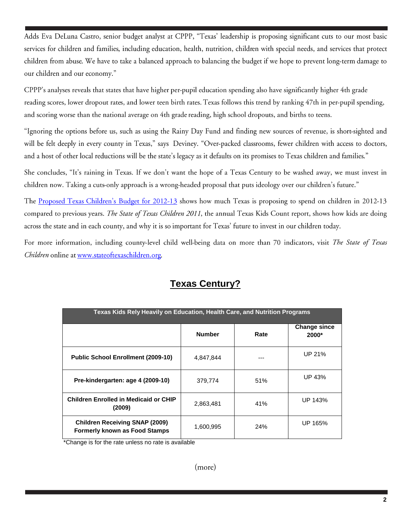Adds Eva DeLuna Castro, senior budget analyst at CPPP, "Texas' leadership is proposing significant cuts to our most basic services for children and families, including education, health, nutrition, children with special needs, and services that protect children from abuse. We have to take a balanced approach to balancing the budget if we hope to prevent long-term damage to our children and our economy."

CPPP's analyses reveals that states that have higher per-pupil education spending also have significantly higher 4th grade reading scores, lower dropout rates, and lower teen birth rates. Texas follows this trend by ranking 47th in per-pupil spending, and scoring worse than the national average on 4th grade reading, high school dropouts, and births to teens.

"Ignoring the options before us, such as using the Rainy Day Fund and finding new sources of revenue, is short-sighted and will be felt deeply in every county in Texas," says Deviney. "Over-packed classrooms, fewer children with access to doctors, and a host of other local reductions will be the state's legacy as it defaults on its promises to Texas children and families."

She concludes, "It's raining in Texas. If we don't want the hope of a Texas Century to be washed away, we must invest in children now. Taking a cuts-only approach is a wrong-headed proposal that puts ideology over our children's future."

The Proposed Texas Children's Budget for 2012-13 shows how much Texas is proposing to spend on children in 2012-13 compared to previous years. The State of Texas Children 2011, the annual Texas Kids Count report, shows how kids are doing across the state and in each county, and why it is so important for Texas' future to invest in our children today.

For more information, including county-level child well-being data on more than 70 indicators, visit The State of Texas Children online at www.stateoftexaschildren.org.

| Texas Kids Rely Heavily on Education, Health Care, and Nutrition Programs     |               |      |                                |  |
|-------------------------------------------------------------------------------|---------------|------|--------------------------------|--|
|                                                                               | <b>Number</b> | Rate | <b>Change since</b><br>$2000*$ |  |
| <b>Public School Enrollment (2009-10)</b>                                     | 4,847,844     |      | UP 21%                         |  |
| Pre-kindergarten: age 4 (2009-10)                                             | 379,774       | 51%  | UP 43%                         |  |
| <b>Children Enrolled in Medicaid or CHIP</b><br>(2009)                        | 2,863,481     | 41%  | UP 143%                        |  |
| <b>Children Receiving SNAP (2009)</b><br><b>Formerly known as Food Stamps</b> | 1,600,995     | 24%  | UP 165%                        |  |

## **Texas Century?**

\*Change is for the rate unless no rate is available

(more)